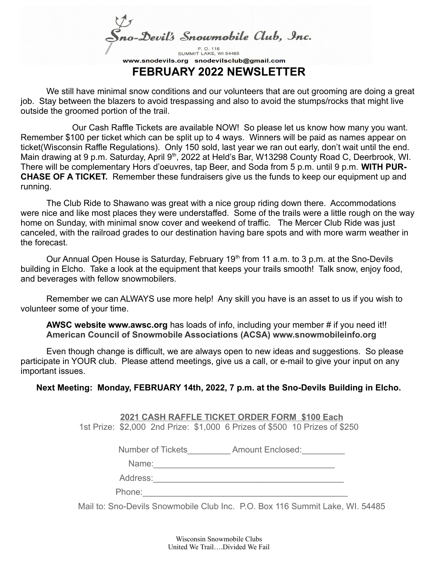Sno-Devil's Snowmobile Club, Inc.

SUMMIT LAKE, WI 54485 www.snodevils.org snodevilsclub@gmail.com **FEBRUARY 2022 NEWSLETTER**

We still have minimal snow conditions and our volunteers that are out grooming are doing a great job. Stay between the blazers to avoid trespassing and also to avoid the stumps/rocks that might live outside the groomed portion of the trail.

Our Cash Raffle Tickets are available NOW! So please let us know how many you want. Remember \$100 per ticket which can be split up to 4 ways. Winners will be paid as names appear on ticket(Wisconsin Raffle Regulations). Only 150 sold, last year we ran out early, don't wait until the end. Main drawing at 9 p.m. Saturday, April 9th, 2022 at Held's Bar, W13298 County Road C, Deerbrook, WI. There will be complementary Hors d'oeuvres, tap Beer, and Soda from 5 p.m. until 9 p.m. **WITH PUR-CHASE OF A TICKET.** Remember these fundraisers give us the funds to keep our equipment up and running.

The Club Ride to Shawano was great with a nice group riding down there. Accommodations were nice and like most places they were understaffed. Some of the trails were a little rough on the way home on Sunday, with minimal snow cover and weekend of traffic. The Mercer Club Ride was just canceled, with the railroad grades to our destination having bare spots and with more warm weather in the forecast.

Our Annual Open House is Saturday, February  $19<sup>th</sup>$  from 11 a.m. to 3 p.m. at the Sno-Devils building in Elcho. Take a look at the equipment that keeps your trails smooth! Talk snow, enjoy food, and beverages with fellow snowmobilers.

Remember we can ALWAYS use more help! Any skill you have is an asset to us if you wish to volunteer some of your time.

**AWSC website www.awsc.org** has loads of info, including your member # if you need it!! **American Council of Snowmobile Associations (ACSA) www.snowmobileinfo.org**

Even though change is difficult, we are always open to new ideas and suggestions. So please participate in YOUR club. Please attend meetings, give us a call, or e-mail to give your input on any important issues.

**Next Meeting: Monday, FEBRUARY 14th, 2022, 7 p.m. at the Sno-Devils Building in Elcho.**

 **2021 CASH RAFFLE TICKET ORDER FORM \$100 Each** 1st Prize: \$2,000 2nd Prize: \$1,000 6 Prizes of \$500 10 Prizes of \$250

Number of Tickets **Amount Enclosed:** 

Name:\_\_\_\_\_\_\_\_\_\_\_\_\_\_\_\_\_\_\_\_\_\_\_\_\_\_\_\_\_\_\_\_\_\_\_\_\_\_

Address:\_\_\_\_\_\_\_\_\_\_\_\_\_\_\_\_\_\_\_\_\_\_\_\_\_\_\_\_\_\_\_\_\_\_\_\_\_\_\_\_

Phone:

Mail to: Sno-Devils Snowmobile Club Inc. P.O. Box 116 Summit Lake, WI. 54485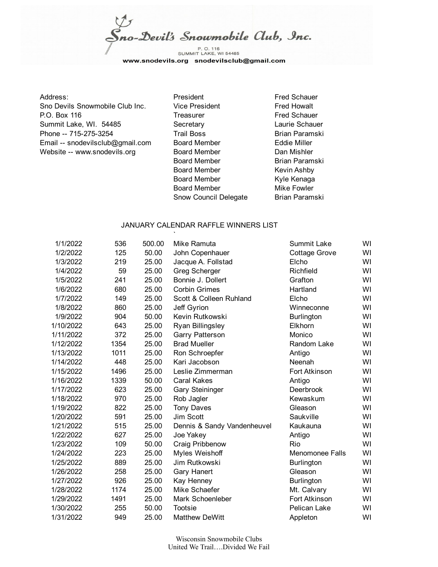Sno-Devil's Snowmobile Club, Inc.

P. O. 116<br>SUMMIT LAKE, WI 54485 www.snodevils.org snodevilsclub@gmail.com

## Address: The Contract of President Fred Schauer Fred Schauer Sno Devils Snowmobile Club Inc. Vice President Fred Howalt P.O. Box 116 **Treasurer** Frequence Treasurer Fred Schauer Summit Lake, WI. 54485 Secretary Secretary Laurie Schauer Phone -- 715-275-3254 Trail Boss Brian Paramski Email -- snodevilsclub@gmail.com Board Member Eddie Miller Website -- www.snodevils.org Board Member Dan Mishler

Board Member Brian Paramski Board Member Kevin Ashby Board Member Kyle Kenaga Board Member Mike Fowler Snow Council Delegate Brian Paramski

## JANUARY CALENDAR RAFFLE WINNERS LIST

| 1/1/2022  | 536  | 500.00 | Mike Ramuta                 | Summit Lake       | WI |
|-----------|------|--------|-----------------------------|-------------------|----|
| 1/2/2022  | 125  | 50.00  | John Copenhauer             | Cottage Grove     | WI |
| 1/3/2022  | 219  | 25.00  | Jacque A. Follstad          | Elcho             | WI |
| 1/4/2022  | 59   | 25.00  | Greg Scherger               | Richfield         | WI |
| 1/5/2022  | 241  | 25.00  | Bonnie J. Dollert           | Grafton           | WI |
| 1/6/2022  | 680  | 25.00  | <b>Corbin Grimes</b>        | Hartland          | WI |
| 1/7/2022  | 149  | 25.00  | Scott & Colleen Ruhland     | Elcho             | WI |
| 1/8/2022  | 860  | 25.00  | Jeff Gyrion                 | Winneconne        | WI |
| 1/9/2022  | 904  | 50.00  | Kevin Rutkowski             | <b>Burlington</b> | WI |
| 1/10/2022 | 643  | 25.00  | <b>Ryan Billingsley</b>     | Elkhorn           | WI |
| 1/11/2022 | 372  | 25.00  | <b>Garry Patterson</b>      | Monico            | WI |
| 1/12/2022 | 1354 | 25.00  | <b>Brad Mueller</b>         | Random Lake       | WI |
| 1/13/2022 | 1011 | 25.00  | Ron Schroepfer              | Antigo            | WI |
| 1/14/2022 | 448  | 25.00  | Kari Jacobson               | Neenah            | WI |
| 1/15/2022 | 1496 | 25.00  | Leslie Zimmerman            | Fort Atkinson     | WI |
| 1/16/2022 | 1339 | 50.00  | <b>Caral Kakes</b>          | Antigo            | WI |
| 1/17/2022 | 623  | 25.00  | <b>Gary Steininger</b>      | Deerbrook         | WI |
| 1/18/2022 | 970  | 25.00  | Rob Jagler                  | Kewaskum          | WI |
| 1/19/2022 | 822  | 25.00  | <b>Tony Daves</b>           | Gleason           | WI |
| 1/20/2022 | 591  | 25.00  | Jim Scott                   | Saukville         | WI |
| 1/21/2022 | 515  | 25.00  | Dennis & Sandy Vandenheuvel | Kaukauna          | WI |
| 1/22/2022 | 627  | 25.00  | Joe Yakey                   | Antigo            | WI |
| 1/23/2022 | 109  | 50.00  | Craig Pribbenow             | Rio               | WI |
| 1/24/2022 | 223  | 25.00  | Myles Weishoff              | Menomonee Falls   | WI |
| 1/25/2022 | 889  | 25.00  | Jim Rutkowski               | <b>Burlington</b> | WI |
| 1/26/2022 | 258  | 25.00  | <b>Gary Hanert</b>          | Gleason           | WI |
| 1/27/2022 | 926  | 25.00  | Kay Henney                  | <b>Burlington</b> | WI |
| 1/28/2022 | 1174 | 25.00  | Mike Schaefer               | Mt. Calvary       | WI |
| 1/29/2022 | 1491 | 25.00  | Mark Schoenleber            | Fort Atkinson     | WI |
| 1/30/2022 | 255  | 50.00  | <b>Tootsie</b>              | Pelican Lake      | WI |
| 1/31/2022 | 949  | 25.00  | <b>Matthew DeWitt</b>       | Appleton          | WI |

Wisconsin Snowmobile Clubs United We Trail….Divided We Fail